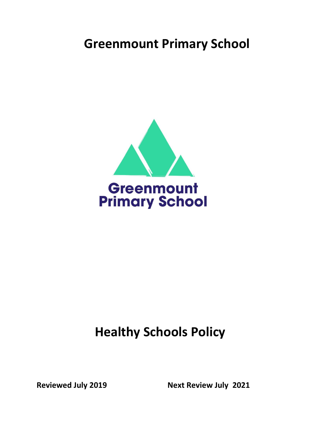# **Greenmount Primary School**



# **Healthy Schools Policy**

Reviewed July 2019 **Next Review July 2021**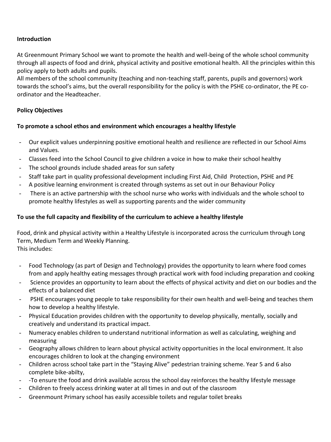#### **Introduction**

At Greenmount Primary School we want to promote the health and well-being of the whole school community through all aspects of food and drink, physical activity and positive emotional health. All the principles within this policy apply to both adults and pupils.

All members of the school community (teaching and non-teaching staff, parents, pupils and governors) work towards the school's aims, but the overall responsibility for the policy is with the PSHE co-ordinator, the PE coordinator and the Headteacher.

#### **Policy Objectives**

#### **To promote a school ethos and environment which encourages a healthy lifestyle**

- Our explicit values underpinning positive emotional health and resilience are reflected in our School Aims and Values.
- Classes feed into the School Council to give children a voice in how to make their school healthy
- The school grounds include shaded areas for sun safety
- Staff take part in quality professional development including First Aid, Child Protection, PSHE and PE
- A positive learning environment is created through systems as set out in our Behaviour Policy
- There is an active partnership with the school nurse who works with individuals and the whole school to promote healthy lifestyles as well as supporting parents and the wider community

#### **To use the full capacity and flexibility of the curriculum to achieve a healthy lifestyle**

Food, drink and physical activity within a Healthy Lifestyle is incorporated across the curriculum through Long Term, Medium Term and Weekly Planning. This includes:

- Food Technology (as part of Design and Technology) provides the opportunity to learn where food comes from and apply healthy eating messages through practical work with food including preparation and cooking
- Science provides an opportunity to learn about the effects of physical activity and diet on our bodies and the effects of a balanced diet
- PSHE encourages young people to take responsibility for their own health and well-being and teaches them how to develop a healthy lifestyle.
- Physical Education provides children with the opportunity to develop physically, mentally, socially and creatively and understand its practical impact.
- Numeracy enables children to understand nutritional information as well as calculating, weighing and measuring
- Geography allows children to learn about physical activity opportunities in the local environment. It also encourages children to look at the changing environment
- Children across school take part in the "Staying Alive" pedestrian training scheme. Year 5 and 6 also complete bike-abilty,
- -To ensure the food and drink available across the school day reinforces the healthy lifestyle message
- Children to freely access drinking water at all times in and out of the classroom
- Greenmount Primary school has easily accessible toilets and regular toilet breaks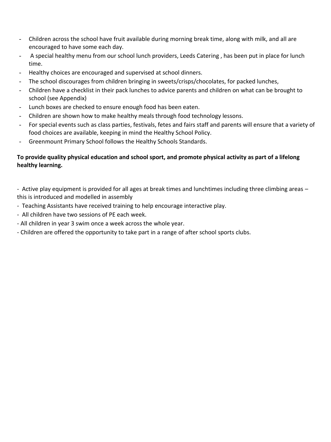- Children across the school have fruit available during morning break time, along with milk, and all are encouraged to have some each day.
- A special healthy menu from our school lunch providers, Leeds Catering, has been put in place for lunch time.
- Healthy choices are encouraged and supervised at school dinners.
- The school discourages from children bringing in sweets/crisps/chocolates, for packed lunches,
- Children have a checklist in their pack lunches to advice parents and children on what can be brought to school (see Appendix)
- Lunch boxes are checked to ensure enough food has been eaten.
- Children are shown how to make healthy meals through food technology lessons.
- For special events such as class parties, festivals, fetes and fairs staff and parents will ensure that a variety of food choices are available, keeping in mind the Healthy School Policy.
- Greenmount Primary School follows the Healthy Schools Standards.

### **To provide quality physical education and school sport, and promote physical activity as part of a lifelong healthy learning.**

- Active play equipment is provided for all ages at break times and lunchtimes including three climbing areas – this is introduced and modelled in assembly

- Teaching Assistants have received training to help encourage interactive play.
- All children have two sessions of PE each week.
- All children in year 3 swim once a week across the whole year.
- Children are offered the opportunity to take part in a range of after school sports clubs.